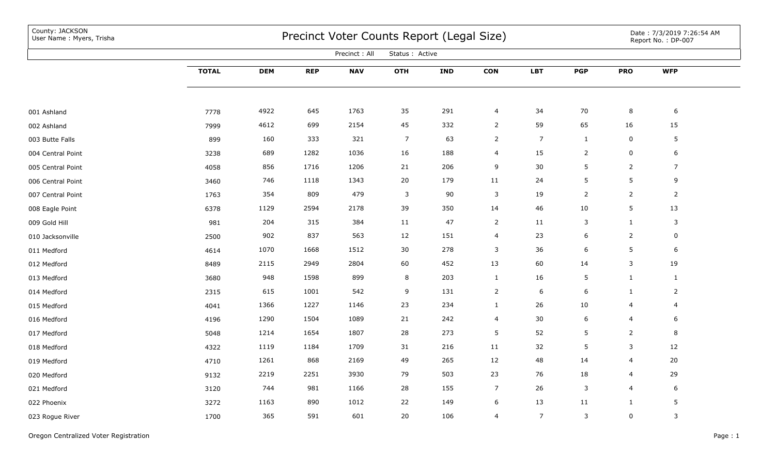County: JACKSON<br>User Name: Myers, Trisha

## Precinct Voter Counts Report (Legal Size) User Name : Myers, Trisha Date : 7/3/2019 7:26:54 AM

Date : 7/3/2019 7:26:54 AM<br>Report No. : DP-007

|                   |              |            |            | Precinct: All | Status : Active |            |                |                |                 |                |                |  |
|-------------------|--------------|------------|------------|---------------|-----------------|------------|----------------|----------------|-----------------|----------------|----------------|--|
|                   | <b>TOTAL</b> | <b>DEM</b> | <b>REP</b> | <b>NAV</b>    | <b>OTH</b>      | <b>IND</b> | <b>CON</b>     | <b>LBT</b>     | <b>PGP</b>      | <b>PRO</b>     | <b>WFP</b>     |  |
|                   |              |            |            |               |                 |            |                |                |                 |                |                |  |
| 001 Ashland       | 7778         | 4922       | 645        | 1763          | 35              | 291        | 4              | 34             | 70              | 8              | 6              |  |
| 002 Ashland       | 7999         | 4612       | 699        | 2154          | 45              | 332        | $\overline{2}$ | 59             | 65              | 16             | 15             |  |
| 003 Butte Falls   | 899          | 160        | 333        | 321           | $\overline{7}$  | 63         | $\overline{2}$ | $\overline{7}$ | $\mathbf{1}$    | $\pmb{0}$      | 5              |  |
| 004 Central Point | 3238         | 689        | 1282       | 1036          | 16              | 188        | 4              | 15             | $\overline{2}$  | $\pmb{0}$      | 6              |  |
| 005 Central Point | 4058         | 856        | 1716       | 1206          | 21              | 206        | 9              | 30             | 5               | $\overline{2}$ | $\overline{7}$ |  |
| 006 Central Point | 3460         | 746        | 1118       | 1343          | 20              | 179        | 11             | 24             | $5\phantom{.0}$ | 5              | 9              |  |
| 007 Central Point | 1763         | 354        | 809        | 479           | $\overline{3}$  | 90         | $\mathbf{3}$   | 19             | $\overline{2}$  | $\overline{2}$ | $\overline{2}$ |  |
| 008 Eagle Point   | 6378         | 1129       | 2594       | 2178          | 39              | 350        | 14             | 46             | 10              | $5\phantom{.}$ | 13             |  |
| 009 Gold Hill     | 981          | 204        | 315        | 384           | 11              | 47         | $\overline{2}$ | 11             | $\mathbf{3}$    | $\mathbf{1}$   | 3              |  |
| 010 Jacksonville  | 2500         | 902        | 837        | 563           | 12              | 151        | $\overline{4}$ | 23             | $6\phantom{.}6$ | $\overline{2}$ | $\mathbf 0$    |  |
| 011 Medford       | 4614         | 1070       | 1668       | 1512          | 30              | 278        | 3              | 36             | $6\phantom{.}6$ | 5              | 6              |  |
| 012 Medford       | 8489         | 2115       | 2949       | 2804          | 60              | 452        | 13             | 60             | 14              | 3              | 19             |  |
| 013 Medford       | 3680         | 948        | 1598       | 899           | 8               | 203        | $\mathbf{1}$   | 16             | $5\phantom{.0}$ | $\mathbf{1}$   | $\mathbf{1}$   |  |
| 014 Medford       | 2315         | 615        | 1001       | 542           | 9               | 131        | $\overline{2}$ | 6              | 6               | $\mathbf{1}$   | $\overline{2}$ |  |
| 015 Medford       | 4041         | 1366       | 1227       | 1146          | 23              | 234        | $\mathbf{1}$   | 26             | 10              | 4              | 4              |  |
| 016 Medford       | 4196         | 1290       | 1504       | 1089          | 21              | 242        | $\overline{4}$ | 30             | $6\phantom{.}6$ | $\overline{a}$ | 6              |  |
| 017 Medford       | 5048         | 1214       | 1654       | 1807          | 28              | 273        | $\sqrt{5}$     | 52             | $5\phantom{.0}$ | $\overline{2}$ | 8              |  |
| 018 Medford       | 4322         | 1119       | 1184       | 1709          | 31              | 216        | 11             | 32             | 5               | 3              | 12             |  |
| 019 Medford       | 4710         | 1261       | 868        | 2169          | 49              | 265        | 12             | 48             | 14              | $\overline{4}$ | 20             |  |
| 020 Medford       | 9132         | 2219       | 2251       | 3930          | 79              | 503        | 23             | 76             | 18              | 4              | 29             |  |
| 021 Medford       | 3120         | 744        | 981        | 1166          | 28              | 155        | $\overline{7}$ | 26             | $\overline{3}$  | $\overline{a}$ | 6              |  |
| 022 Phoenix       | 3272         | 1163       | 890        | 1012          | 22              | 149        | 6              | 13             | 11              | $\mathbf{1}$   | 5              |  |
| 023 Rogue River   | 1700         | 365        | 591        | 601           | 20              | 106        | 4              | $\overline{7}$ | $\mathsf{3}$    | $\pmb{0}$      | 3              |  |